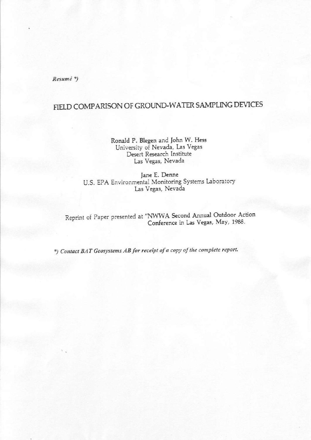Resumé\*)

# FIELD COMPARISON OF GROUND-WATER SAMPLING DEVICES

Ronald P. Blegen and John W. Hess University of Nevada, Las Vegas Desert Research Institute Las Vegas, Nevada

Jane E. Denne U.S. EPA Environmental Monitoring Systems Laboratory Las Vegas, Nevada

Reprint of Paper presented at "NWWA Second Annual Outdoor Action Conference in Las Vegas, May, 1988.

\*) Contact BAT Geosystems AB for receipt of a copy of the complete report.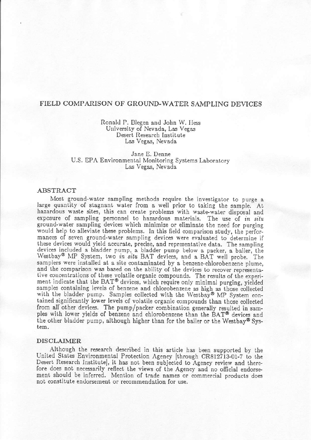## FIELD COMPARISON OF GROUND-WATER SAMPLING DEVICES

### Ronald P. Blegen and John W. Hess University of Nevada, Las Vegas Desert Research Institute Las Vegas, Nevada

Jane E. Denne U.S. EPA Environmental Monitoring Systems Laboratory Las Vegas, Nevada

#### ABSTRACT

Most ground-water sampling methods require the investigator to purge a large quantity of stagnant water from a well prior to taking the sample. At hazardous waste sites, this can create problems with waste-water disposal and exposure of sampling personnel to hazardous materials. The use of in situ ground-water sampling devices which minimize or eliminate the need for purging would help to alleviate these problems. In this field comparison study, the performances of seven ground-water sampling devices were evaluated to determine if these devices would yield accurate, precise, and representative data. The sampling devices included a bladder pump, a bladder pump below a packer, a bailer, the Westbay<sup>®</sup> MP System, two in situ BAT devices, and a BAT well probe. The samplers were installed at a site contaminated by a benzene-chlorobenzene plume, and the comparison was based on the ability of the devices to recover representative concentrations of these volatile organic compounds. The results of the experiment indicate that the BAT@ devices, which require only minimal purging, yieided samples containing levels of benzene and chlorobenzene as high as those collected with the bladder pump. Samples collected with the Westbay® MP System contained significantly lower levels of volatile organic compounds than those collected from all other devices. The pump/packer combination generally resulted in samples with lower yields of benzene and chlorobenzene than the BAT<sup>®</sup> devices and the other bladder pump, although higher than for the bailer or the Westbay<sup>®</sup> System.

#### DISCLAJMER

Although the research described in this article has been supported by the United States Environmental Protection Agency [through CR812713-01-7 to the Desert Research Institute], it has not been subjected to Agency review and therefore does not necessarily reflect the views of the Agency and no official endorsement should be inferred. Mention of trade names or commercial products does not constitute endorsement or recommendation for use.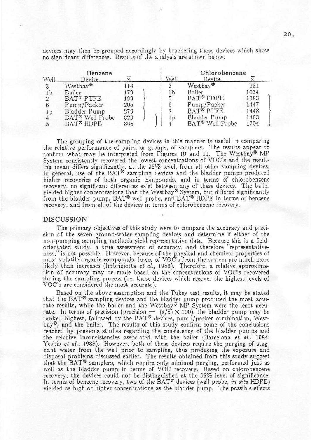devices may then be grouped accordingly by bracketing those devices which show no significant differences. Results of the analysis are shown below.

| Benzene        |                             |     |  | Chlorobenzene  |                             |      |  |
|----------------|-----------------------------|-----|--|----------------|-----------------------------|------|--|
| Well           | Device                      |     |  | Well           | Device                      |      |  |
| 3              | Westbay <sup>®</sup>        | 114 |  | 3              | Westbay <sup>®</sup>        | 651  |  |
| 1b             | Bailer                      | 179 |  | 1b             | Bailer                      | 1034 |  |
| $\overline{2}$ | BAT <sup>®</sup> PTFE       | 199 |  | 5              | BAT <sup>®</sup> HDPE       | 1383 |  |
| 6              | Pump/Packer                 | 205 |  | 6              | Pump/Packer                 | 1447 |  |
| 1p             | Bladder Pump                | 279 |  | $\overline{2}$ | BAT <sup>®</sup> PTFE       | 1448 |  |
| 4              | BAT <sup>®</sup> Well Probe | 329 |  | l p            | Bladder Pump                | 1463 |  |
|                | BAT <sup>®</sup> HDPE       | 368 |  |                | BAT <sup>®</sup> Well Probe | 1704 |  |

The grouping of the sampling devices in this manner is useful in comparing the relative performance of pairs, or groups, of samplers. The results appear to confirm what may be interpreted from Figures 10 and 11. The Westbay® MP System consistently recovered the lowest concentrations of VOC's and the resulting mean differs significantly, at the 95% level, from all other sampling devices.<br>In general, use of the BAT® sampling devices and the bladder pumps produced higher recoveries of both organic compounds, and in terms of chlorobenzene recovery, no significant differences exist between any of these devices. The bailer yielded higher concentrations than the Westbay® System, but differed significantly from the bladder pump, BAT® well probe, and BAT® HDPE in terms of benzene recovery, and from all of the devices in terms of chlorobenzene recovery.

#### **DISCUSSION**

The primary objectives of this study were to compare the accuracy and precision of the seven ground-water sampling devices and determine if either of the non-pumping sampling methods yield representative data. Because this is a fieldorientated study, a true assessment of accuracy, and therefore "representativeness," is not possible. However, because of the physical and chemical properties of most volatile organic compounds, losses of VOC's from the system are much more likely than increases (Imbrigiotta et al., 1986). Therefore, a relative approximation of accuracy may be made based on the concentrations of VOC's recovered during the sampling process (i.e. those devices which recover the highest levels of VOC's are considered the most accurate).

Based on the above assumption and the Tukey test results, it may be stated that the BAT® sampling devices and the bladder pump produced the most accurate results, while the bailer and the Westbay® MP System were the least accurate. In terms of precision (precision =  $(s/\overline{x}) \times 100$ ), the bladder pump may be ranked highest, followed by the BAT<sup>®</sup> devices, pump/packer combination, Westbay<sup>®</sup>, and the bailer. The results of this study confirm some of the conclusions reached by previous studies regarding the consistency of the bladder pumps and the relative inconsistencies associated with the bailer (Barcelona et al., 1984; Yeskis et al., 1988). However, both of these devices require the purging of stagnant water from the well prior to sampling, thus producing the exposure and disposal problems discussed earlier. The results obtained from this study suggest that the BAT® samplers, which require only minimal purging, performed just as well as the bladder pump in terms of VOC recovery. Based on chlorobenzene recovery, the devices could not be distinguished at the 95% level of significance. In terms of benzene recovery, two of the BAT® devices (well probe, in situ HDPE) vielded as high or higher concentrations as the bladder pump. The possible effects